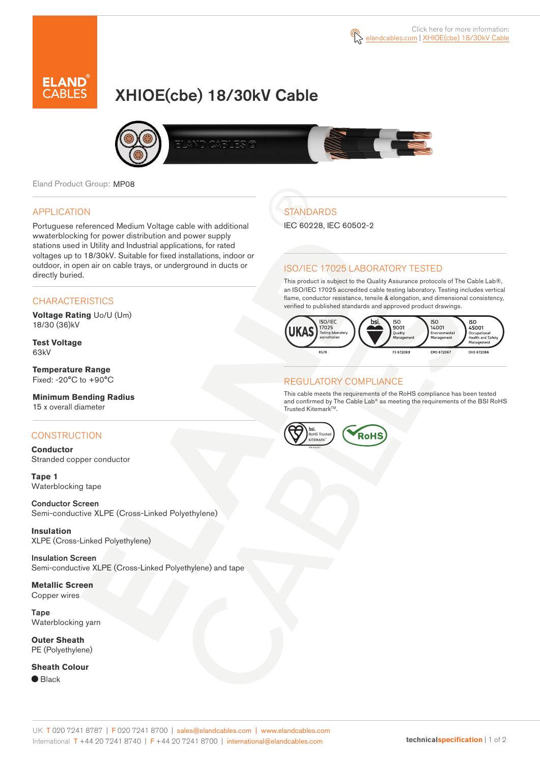# XHIOE(cbe) 18/30kV Cable



Eland Product Group: MP08

### APPLICATION

Portuguese referenced Medium Voltage cable with additional wwaterblocking for power distribution and power supply stations used in Utility and Industrial applications, for rated voltages up to 18/30kV. Suitable for fixed installations, indoor or outdoor, in open air on cable trays, or underground in ducts or directly buried.

### **CHARACTERISTICS**

**Voltage Rating** Uo/U (Um) 18/30 (36)kV

**Test Voltage** 63kV

**Temperature Range** Fixed: -20°C to +90°C

**Minimum Bending Radius** 15 x overall diameter

### **CONSTRUCTION**

**Conductor** Stranded copper conductor

**Tape 1** Waterblocking tape

Conductor Screen Semi-conductive XLPE (Cross-Linked Polyethylene)

**Insulation** XLPE (Cross-Linked Polyethylene)

Insulation Screen Semi-conductive XLPE (Cross-Linked Polyethylene) and tape

**Metallic Screen** Copper wires

Tape Waterblocking yarn

**Outer Sheath** PE (Polyethylene)

**Sheath Colour**

● Black

## **STANDARDS**

IEC 60228, IEC 60502-2

### ISO/IEC 17025 LABORATORY TESTED

This product is subject to the Quality Assurance protocols of The Cable Lab®, an ISO/IEC 17025 accredited cable testing laboratory. Testing includes vertical flame, conductor resistance, tensile & elongation, and dimensional consistency, verified to published standards and approved product drawings.



### REGULATORY COMPLIANCE

This cable meets the requirements of the RoHS compliance has been tested and confirmed by The Cable Lab® as meeting the requirements of the BSI RoHS Trusted Kitemark™.